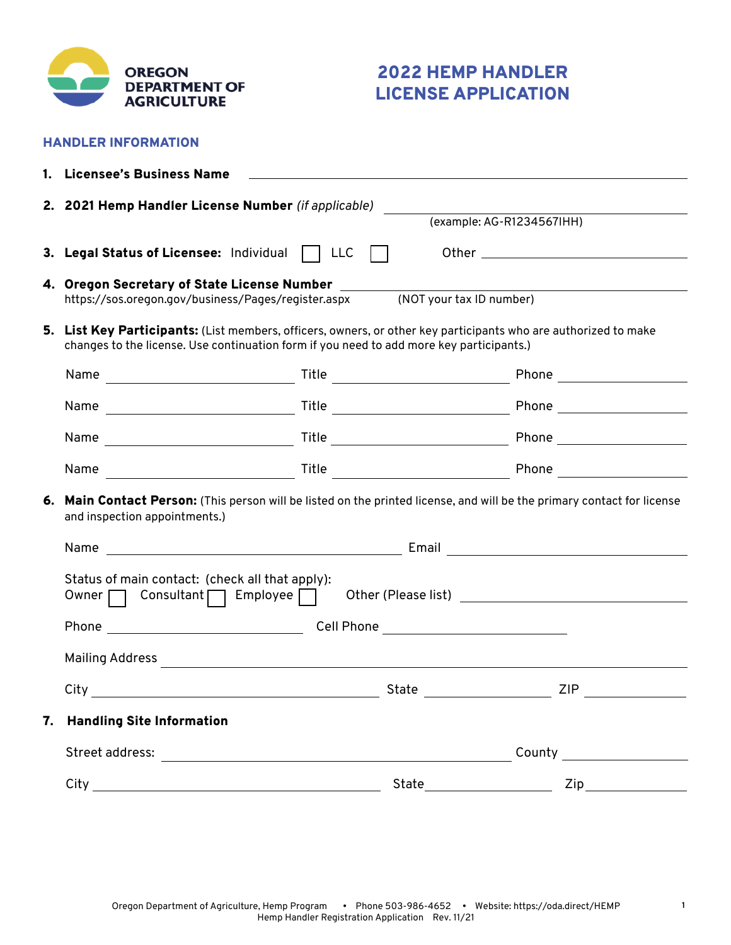

HANDLER INFORMATION

# 2022 HEMP HANDLER LICENSE APPLICATION

|                                                                                                                                                                                                             | 1. Licensee's Business Name                                                                                                                              |                          |                           |
|-------------------------------------------------------------------------------------------------------------------------------------------------------------------------------------------------------------|----------------------------------------------------------------------------------------------------------------------------------------------------------|--------------------------|---------------------------|
|                                                                                                                                                                                                             | 2. 2021 Hemp Handler License Number (if applicable)                                                                                                      |                          | (example: AG-R1234567IHH) |
|                                                                                                                                                                                                             | 3. Legal Status of Licensee: Individual     LLC                                                                                                          |                          |                           |
|                                                                                                                                                                                                             | 4. Oregon Secretary of State License Number _____<br>https://sos.oregon.gov/business/Pages/register.aspx                                                 | (NOT your tax ID number) |                           |
| 5. List Key Participants: (List members, officers, owners, or other key participants who are authorized to make<br>changes to the license. Use continuation form if you need to add more key participants.) |                                                                                                                                                          |                          |                           |
|                                                                                                                                                                                                             |                                                                                                                                                          |                          |                           |
|                                                                                                                                                                                                             |                                                                                                                                                          |                          |                           |
|                                                                                                                                                                                                             |                                                                                                                                                          |                          |                           |
|                                                                                                                                                                                                             |                                                                                                                                                          |                          |                           |
|                                                                                                                                                                                                             | 6. Main Contact Person: (This person will be listed on the printed license, and will be the primary contact for license<br>and inspection appointments.) |                          |                           |
|                                                                                                                                                                                                             |                                                                                                                                                          |                          |                           |
|                                                                                                                                                                                                             | Status of main contact: (check all that apply):<br>Owner   Consultant   Employee                                                                         |                          |                           |
|                                                                                                                                                                                                             |                                                                                                                                                          |                          |                           |
|                                                                                                                                                                                                             |                                                                                                                                                          |                          |                           |
|                                                                                                                                                                                                             | City                                                                                                                                                     | State                    | ZIP                       |
|                                                                                                                                                                                                             | 7. Handling Site Information                                                                                                                             |                          |                           |
|                                                                                                                                                                                                             |                                                                                                                                                          |                          |                           |
|                                                                                                                                                                                                             |                                                                                                                                                          |                          |                           |

**1**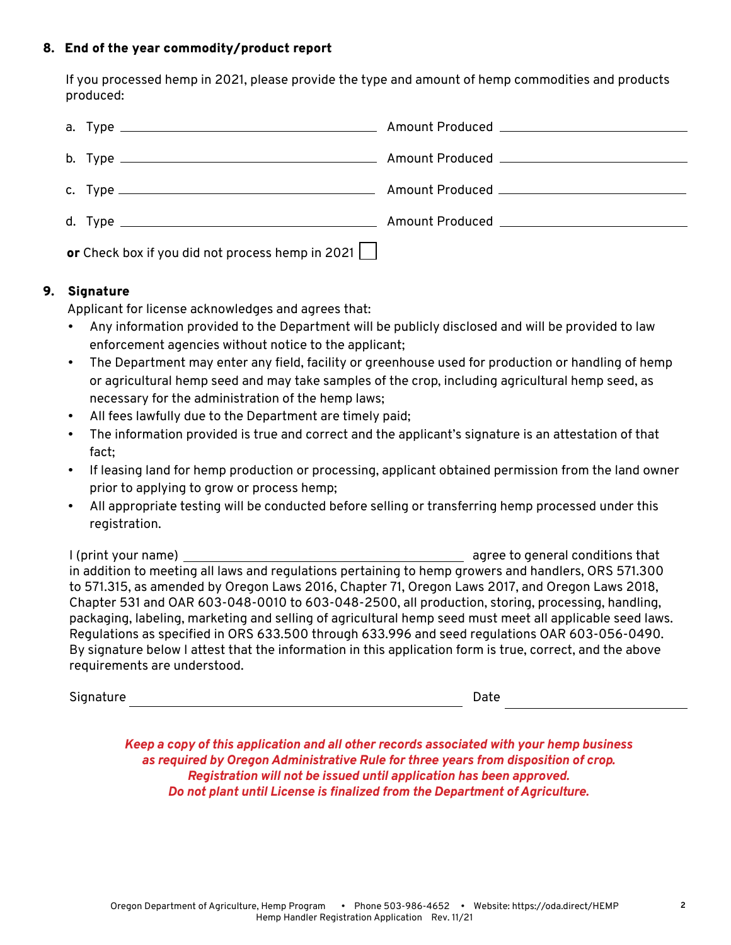## 8. End of the year commodity/product report

If you processed hemp in 2021, please provide the type and amount of hemp commodities and products produced:

| or Check box if you did not process hemp in 2021 $\Box$ |  |  |  |
|---------------------------------------------------------|--|--|--|

# 9. Signature

Applicant for license acknowledges and agrees that:

- Any information provided to the Department will be publicly disclosed and will be provided to law enforcement agencies without notice to the applicant;
- The Department may enter any field, facility or greenhouse used for production or handling of hemp or agricultural hemp seed and may take samples of the crop, including agricultural hemp seed, as necessary for the administration of the hemp laws;
- All fees lawfully due to the Department are timely paid;
- The information provided is true and correct and the applicant's signature is an attestation of that fact;
- If leasing land for hemp production or processing, applicant obtained permission from the land owner prior to applying to grow or process hemp;
- All appropriate testing will be conducted before selling or transferring hemp processed under this registration.

I (print your name) agree to general conditions that in addition to meeting all laws and regulations pertaining to hemp growers and handlers, ORS 571.300 to 571.315, as amended by Oregon Laws 2016, Chapter 71, Oregon Laws 2017, and Oregon Laws 2018, Chapter 531 and OAR 603-048-0010 to 603-048-2500, all production, storing, processing, handling, packaging, labeling, marketing and selling of agricultural hemp seed must meet all applicable seed laws. Regulations as specified in ORS 633.500 through 633.996 and seed regulations OAR 603-056-0490. By signature below I attest that the information in this application form is true, correct, and the above requirements are understood.

| Signature | Date |
|-----------|------|
|           |      |

*Keep a copy of this application and all other records associated with your hemp business as required by Oregon Administrative Rule for three years from disposition of crop. Registration will not be issued until application has been approved. Do not plant until License is finalized from the Department of Agriculture.*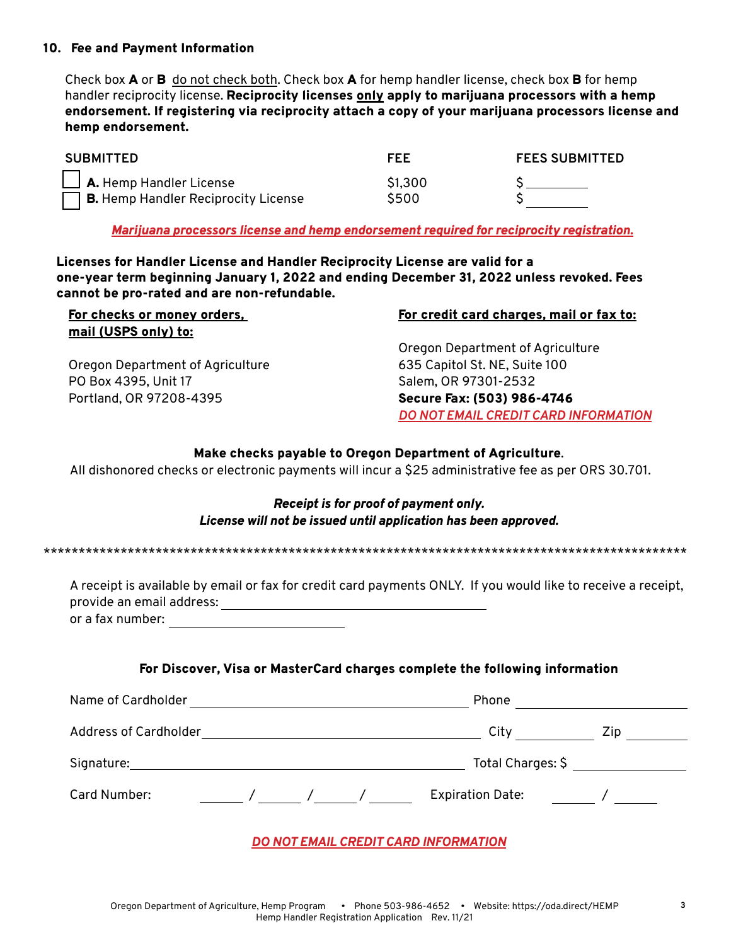#### 10. Fee and Payment Information

Check box **A** or **B** do not check both. Check box **A** for hemp handler license, check box **B** for hemp handler reciprocity license. Reciprocity licenses only apply to marijuana processors with a hemp endorsement. If registering via reciprocity attach a copy of your marijuana processors license and hemp endorsement.

| <b>SUBMITTED</b>                                                                    | FEE             | <b>FEES SUBMITTED</b> |  |
|-------------------------------------------------------------------------------------|-----------------|-----------------------|--|
| $\Box$ A. Hemp Handler License<br>$\Box$ <b>B.</b> Hemp Handler Reciprocity License | \$1,300<br>S500 |                       |  |

*Marijuana processors license and hemp endorsement required for reciprocity registration.*

Licenses for Handler License and Handler Reciprocity License are valid for a one-year term beginning January 1, 2022 and ending December 31, 2022 unless revoked. Fees cannot be pro-rated and are non-refundable.

| For checks or money orders,      | For credit card charges, mail or fax to: |
|----------------------------------|------------------------------------------|
| mail (USPS only) to:             |                                          |
|                                  | Oregon Department of Agriculture         |
| Oregon Department of Agriculture | 635 Capitol St. NE, Suite 100            |
| PO Box 4395, Unit 17             | Salem, OR 97301-2532                     |
| Portland, OR 97208-4395          | Secure Fax: (503) 986-4746               |
|                                  | DO NOT EMAIL CREDIT CARD INFORMATION     |

#### Make checks payable to Oregon Department of Agriculture.

All dishonored checks or electronic payments will incur a \$25 administrative fee as per ORS 30.701.

#### *Receipt is for proof of payment only. License will not be issued until application has been approved.*

\*\*\*\*\*\*\*\*\*\*\*\*\*\*\*\*\*\*\*\*\*\*\*\*\*\*\*\*\*\*\*\*\*\*\*\*\*\*\*\*\*\*\*\*\*\*\*\*\*\*\*\*\*\*\*\*\*\*\*\*\*\*\*\*\*\*\*\*\*\*\*\*\*\*\*\*\*\*\*\*\*\*\*\*\*\*\*\*\*\*\*\*

| A receipt is available by email or fax for credit card payments ONLY. If you would like to receive a receipt, |  |  |
|---------------------------------------------------------------------------------------------------------------|--|--|
| provide an email address:                                                                                     |  |  |
| or a fax number:                                                                                              |  |  |

#### For Discover, Visa or MasterCard charges complete the following information

| Name of Cardholder           | Phone                   |            |
|------------------------------|-------------------------|------------|
| <b>Address of Cardholder</b> | City                    | <b>Zip</b> |
| Signature:                   | Total Charges: \$       |            |
| Card Number:                 | <b>Expiration Date:</b> |            |

### *DO NOT EMAIL CREDIT CARD INFORMATION*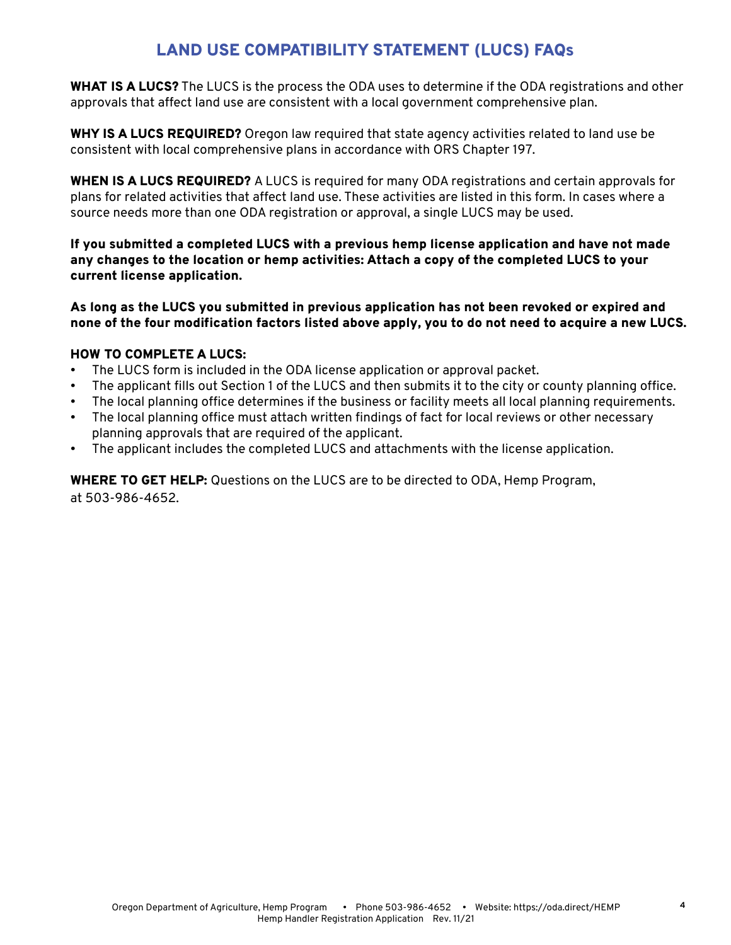# LAND USE COMPATIBILITY STATEMENT (LUCS) FAQs

WHAT IS A LUCS? The LUCS is the process the ODA uses to determine if the ODA registrations and other approvals that affect land use are consistent with a local government comprehensive plan.

WHY IS A LUCS REQUIRED? Oregon law required that state agency activities related to land use be consistent with local comprehensive plans in accordance with ORS Chapter 197.

WHEN IS A LUCS REQUIRED? A LUCS is required for many ODA registrations and certain approvals for plans for related activities that affect land use. These activities are listed in this form. In cases where a source needs more than one ODA registration or approval, a single LUCS may be used.

If you submitted a completed LUCS with a previous hemp license application and have not made any changes to the location or hemp activities: Attach a copy of the completed LUCS to your current license application.

As long as the LUCS you submitted in previous application has not been revoked or expired and none of the four modification factors listed above apply, you to do not need to acquire a new LUCS.

# HOW TO COMPLETE A LUCS:

- The LUCS form is included in the ODA license application or approval packet.
- The applicant fills out Section 1 of the LUCS and then submits it to the city or county planning office.
- The local planning office determines if the business or facility meets all local planning requirements.
- The local planning office must attach written findings of fact for local reviews or other necessary planning approvals that are required of the applicant.
- The applicant includes the completed LUCS and attachments with the license application.

WHERE TO GET HELP: Questions on the LUCS are to be directed to ODA, Hemp Program, at 503-986-4652.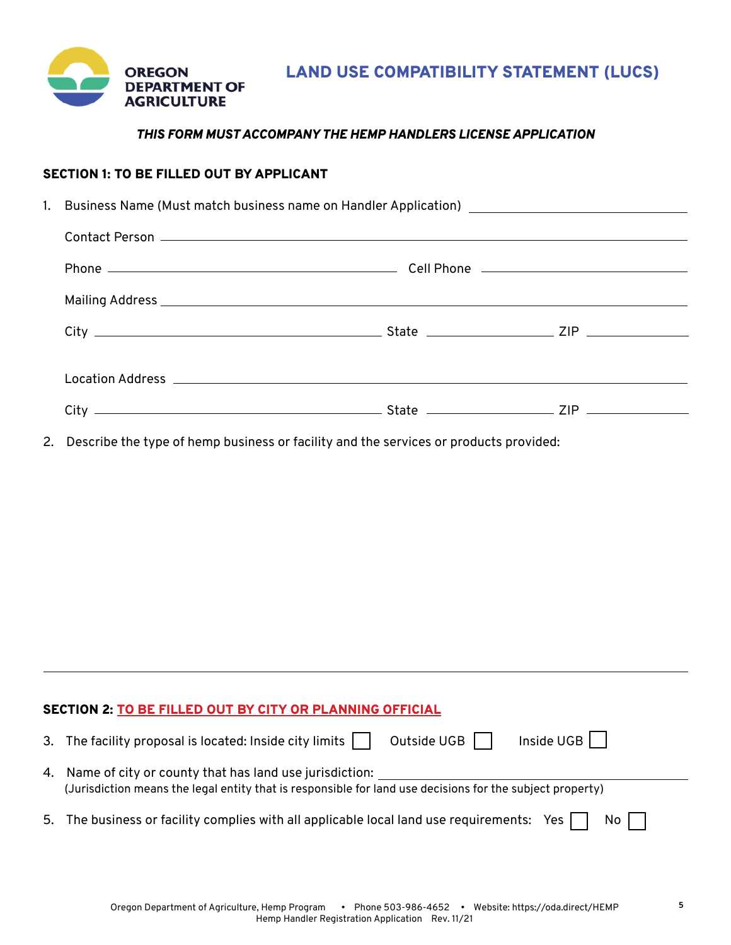

# *THIS FORM MUST ACCOMPANY THE HEMP HANDLERS LICENSE APPLICATION*

# SECTION 1: TO BE FILLED OUT BY APPLICANT

| 1. Business Name (Must match business name on Handler Application) _________________________________                                                                                                                           |  |  |
|--------------------------------------------------------------------------------------------------------------------------------------------------------------------------------------------------------------------------------|--|--|
| Contact Person entrance and the contract of the contract of the contract of the contract of the contract of the contract of the contract of the contract of the contract of the contract of the contract of the contract of th |  |  |
|                                                                                                                                                                                                                                |  |  |
| Mailing Address entertainment of the state of the state of the state of the state of the state of the state of                                                                                                                 |  |  |
|                                                                                                                                                                                                                                |  |  |
|                                                                                                                                                                                                                                |  |  |
|                                                                                                                                                                                                                                |  |  |
|                                                                                                                                                                                                                                |  |  |
|                                                                                                                                                                                                                                |  |  |

2. Describe the type of hemp business or facility and the services or products provided:

### SECTION 2: TO BE FILLED OUT BY CITY OR PLANNING OFFICIAL

| 3. The facility proposal is located: Inside city limits<br>$Inside UGB$    <br>Outside UGB                                                                             |
|------------------------------------------------------------------------------------------------------------------------------------------------------------------------|
| 4. Name of city or county that has land use jurisdiction:<br>(Jurisdiction means the legal entity that is responsible for land use decisions for the subject property) |
| 5. The business or facility complies with all applicable local land use requirements: Yes $\Box$<br>No II                                                              |